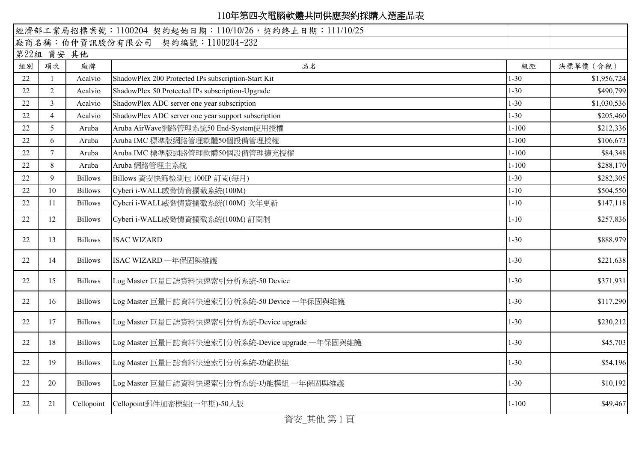|    |                                  |                | 經濟部工業局招標案號: 1100204 契約起始日期: 110/10/26, 契約終止日期: 111/10/25 |           |             |
|----|----------------------------------|----------------|----------------------------------------------------------|-----------|-------------|
|    | 廠商名稱:伯仲資訊股份有限公司 契約編號:1100204-232 |                |                                                          |           |             |
|    | 第22組 資安_其他                       |                |                                                          |           |             |
| 組別 | 項次                               | 廠牌             | 品名                                                       | 級距        | 決標單價 (含稅)   |
| 22 | $\overline{1}$                   | Acalvio        | ShadowPlex 200 Protected IPs subscription-Start Kit      | $1 - 30$  | \$1,956,724 |
| 22 | $\overline{2}$                   | Acalvio        | ShadowPlex 50 Protected IPs subscription-Upgrade         | $1 - 30$  | \$490,799   |
| 22 | 3                                | Acalvio        | ShadowPlex ADC server one year subscription              | $1 - 30$  | \$1,030,536 |
| 22 | $\overline{4}$                   | Acalvio        | ShadowPlex ADC server one year support subscription      | $1 - 30$  | \$205,460   |
| 22 | 5                                | Aruba          | Aruba AirWave網路管理系統50 End-System使用授權                     | $1 - 100$ | \$212,336   |
| 22 | 6                                | Aruba          | Aruba IMC 標準版網路管理軟體50個設備管理授權                             | $1 - 100$ | \$106,673   |
| 22 | $\tau$                           | Aruba          | Aruba IMC 標準版網路管理軟體50個設備管理擴充授權                           | $1 - 100$ | \$84,348    |
| 22 | 8                                | Aruba          | Aruba 網路管理主系統                                            | $1 - 100$ | \$288,170   |
| 22 | 9                                | <b>Billows</b> | Billows 資安快篩檢測包 100IP 訂閱(每月)                             | $1 - 30$  | \$282,305   |
| 22 | 10                               | <b>Billows</b> | Cyberi i-WALL威脅情資攔截系統(100M)                              | $1 - 10$  | \$504,550   |
| 22 | 11                               | <b>Billows</b> | Cyberi i-WALL威脅情資攔截系統(100M) 次年更新                         | $1 - 10$  | \$147,118   |
| 22 | 12                               | <b>Billows</b> | Cyberi i-WALL威脅情資攔截系統(100M)訂閱制                           | $1 - 10$  | \$257,836   |
| 22 | 13                               | <b>Billows</b> | <b>ISAC WIZARD</b>                                       | $1 - 30$  | \$888,979   |
| 22 | 14                               | <b>Billows</b> | ISAC WIZARD 一年保固與維護                                      | $1 - 30$  | \$221,638   |
| 22 | 15                               | <b>Billows</b> | Log Master 巨量日誌資料快速索引分析系統-50 Device                      | $1 - 30$  | \$371,931   |
| 22 | 16                               | <b>Billows</b> | Log Master 巨量日誌資料快速索引分析系統-50 Device 一年保固與維護              | $1 - 30$  | \$117,290   |
| 22 | 17                               | <b>Billows</b> | Log Master 巨量日誌資料快速索引分析系統-Device upgrade                 | $1 - 30$  | \$230,212   |
| 22 | 18                               | <b>Billows</b> | Log Master 巨量日誌資料快速索引分析系統-Device upgrade 一年保固與維護         | $1 - 30$  | \$45,703    |
| 22 | 19                               | <b>Billows</b> | Log Master 巨量日誌資料快速索引分析系統-功能模組                           | $1 - 30$  | \$54,196    |
| 22 | 20                               | <b>Billows</b> | Log Master 巨量日誌資料快速索引分析系統-功能模組 一年保固與維護                   | $1 - 30$  | \$10,192    |
| 22 | 21                               |                | Cellopoint Cellopoint郵件加密模組(一年期)-50人版                    | $1 - 100$ | \$49,467    |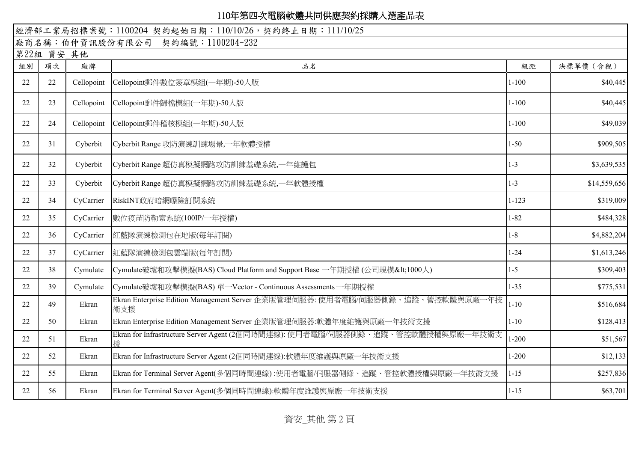|    |            |            | 經濟部工業局招標案號: 1100204 契約起始日期: 110/10/26, 契約終止日期: 111/10/25                              |           |              |
|----|------------|------------|---------------------------------------------------------------------------------------|-----------|--------------|
|    |            |            | 廠商名稱:伯仲資訊股份有限公司 契約編號:1100204-232                                                      |           |              |
|    | 第22組 資安_其他 |            |                                                                                       |           |              |
| 組別 | 項次         | 廠牌         | 品名                                                                                    | 級距        | 決標單價 (含稅)    |
| 22 | 22         | Cellopoint | Cellopoint郵件數位簽章模組(一年期)-50人版                                                          | $1 - 100$ | \$40,445     |
| 22 | 23         | Cellopoint | Cellopoint郵件歸檔模組(一年期)-50人版                                                            | $1 - 100$ | \$40,445     |
| 22 | 24         | Cellopoint | Cellopoint郵件稽核模組(一年期)-50人版                                                            | $1 - 100$ | \$49,039     |
| 22 | 31         | Cyberbit   | Cyberbit Range 攻防演練訓練場景,一年軟體授權                                                        | $1 - 50$  | \$909,505    |
| 22 | 32         | Cyberbit   | Cyberbit Range 超仿真模擬網路攻防訓練基礎系統,一年維護包                                                  | $1 - 3$   | \$3,639,535  |
| 22 | 33         | Cyberbit   | Cyberbit Range 超仿真模擬網路攻防訓練基礎系統,一年軟體授權                                                 | $1 - 3$   | \$14,559,656 |
| 22 | 34         | CyCarrier  | RiskINT政府暗網曝險訂閱系統                                                                     | $1 - 123$ | \$319,009    |
| 22 | 35         | CyCarrier  | 數位疫苗防勒索系統(100IP/一年授權)                                                                 | $1 - 82$  | \$484,328    |
| 22 | 36         | CyCarrier  | 紅藍隊演練檢測包在地版(每年訂閱)                                                                     | $1-8$     | \$4,882,204  |
| 22 | 37         | CyCarrier  | 紅藍隊演練檢測包雲端版(每年訂閱)                                                                     | $1 - 24$  | \$1,613,246  |
| 22 | 38         | Cymulate   | Cymulate破壞和攻擊模擬(BAS) Cloud Platform and Support Base 一年期授權 (公司規模<1000人)               | $1 - 5$   | \$309,403    |
| 22 | 39         | Cymulate   | Cymulate破壞和攻擊模擬(BAS) 單一Vector - Continuous Assessments 一年期授權                          | $1 - 35$  | \$775,531    |
| 22 | 49         | Ekran      | Ekran Enterprise Edition Management Server 企業版管理伺服器: 使用者電腦/伺服器側錄、追蹤、管控軟體與原廠一年技<br>術支援 | $1 - 10$  | \$516,684    |
| 22 | 50         | Ekran      | Ekran Enterprise Edition Management Server 企業版管理伺服器:軟體年度維護與原廠一年技術支援                   | $1 - 10$  | \$128,413    |
| 22 | 51         | Ekran      | Ekran for Infrastructure Server Agent (2個同時間連線): 使用者電腦/伺服器側錄、追蹤、管控軟體授權與原廠一年技術支<br>援   | $1 - 200$ | \$51,567     |
| 22 | 52         | Ekran      | Ekran for Infrastructure Server Agent (2個同時間連線):軟體年度維護與原廠一年技術支援                       | $1 - 200$ | \$12,133     |
| 22 | 55         | Ekran      | Ekran for Terminal Server Agent(多個同時間連線):使用者電腦/伺服器側錄、追蹤、管控軟體授權與原廠一年技術支援               | $1 - 15$  | \$257,836    |
| 22 | 56         | Ekran      | Ekran for Terminal Server Agent(多個同時間連線):軟體年度維護與原廠一年技術支援                              | $1 - 15$  | \$63,701     |

資安\_其他 第 2 頁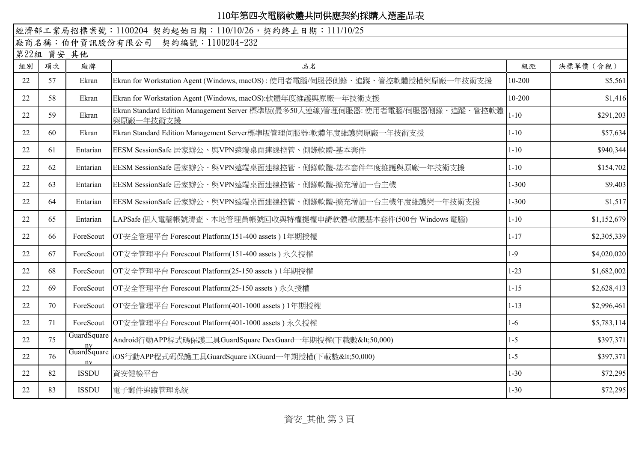|    |            |                   | 經濟部工業局招標案號: 1100204 契約起始日期: 110/10/26, 契約終止日期: 111/10/25                                     |            |             |
|----|------------|-------------------|----------------------------------------------------------------------------------------------|------------|-------------|
|    |            |                   | 廠商名稱:伯仲資訊股份有限公司 契約編號:1100204-232                                                             |            |             |
|    | 第22組 資安_其他 |                   |                                                                                              |            |             |
| 組別 | 項次         | 廠牌                | 品名                                                                                           | 級距         | 決標單價 (含稅)   |
| 22 | 57         | Ekran             | Ekran for Workstation Agent (Windows, macOS): 使用者電腦/伺服器側錄、追蹤、管控軟體授權與原廠一年技術支援                 | 10-200     | \$5,561     |
| 22 | 58         | Ekran             | Ekran for Workstation Agent (Windows, macOS):軟體年度維護與原廠一年技術支援                                 | $10 - 200$ | \$1,416     |
| 22 | 59         | Ekran             | Ekran Standard Edition Management Server 標準版(最多50人連線)管理伺服器: 使用者電腦/伺服器側錄、追蹤、管控軟體<br>與原廠一年技術支援 | $1 - 10$   | \$291,203   |
| 22 | 60         | Ekran             | Ekran Standard Edition Management Server標準版管理伺服器:軟體年度維護與原廠一年技術支援                             | $1 - 10$   | \$57,634    |
| 22 | 61         | Entarian          | EESM SessionSafe 居家辦公、與VPN遠端桌面連線控管、側錄軟體-基本套件                                                 | $1 - 10$   | \$940,344   |
| 22 | 62         | Entarian          | EESM SessionSafe 居家辦公、與VPN遠端桌面連線控管、側錄軟體-基本套件年度維護與原廠一年技術支援                                    | $1 - 10$   | \$154,702   |
| 22 | 63         | Entarian          | EESM SessionSafe 居家辦公、與VPN遠端桌面連線控管、側錄軟體-擴充增加一台主機                                             | $1 - 300$  | \$9,403     |
| 22 | 64         | Entarian          | EESM SessionSafe 居家辦公、與VPN遠端桌面連線控管、側錄軟體-擴充增加一台主機年度維護與一年技術支援                                  | $1 - 300$  | \$1,517     |
| 22 | 65         | Entarian          | LAPSafe 個人電腦帳號清查、本地管理員帳號回收與特權提權申請軟體-軟體基本套件(500台 Windows 電腦)                                  | $1 - 10$   | \$1,152,679 |
| 22 | 66         | ForeScout         | OT安全管理平台 Forescout Platform(151-400 assets) 1年期授權                                            | $1 - 17$   | \$2,305,339 |
| 22 | 67         | ForeScout         | OT安全管理平台 Forescout Platform(151-400 assets) 永久授權                                             | $1-9$      | \$4,020,020 |
| 22 | 68         | ForeScout         | OT安全管理平台 Forescout Platform(25-150 assets) 1年期授權                                             | $1 - 23$   | \$1,682,002 |
| 22 | 69         | ForeScout         | OT安全管理平台 Forescout Platform(25-150 assets) 永久授權                                              | $1 - 15$   | \$2,628,413 |
| 22 | 70         | ForeScout         | OT安全管理平台 Forescout Platform(401-1000 assets) 1年期授權                                           | $1 - 13$   | \$2,996,461 |
| 22 | 71         | ForeScout         | OT安全管理平台 Forescout Platform(401-1000 assets) 永久授權                                            | $1-6$      | \$5,783,114 |
| 22 | 75         | GuardSquare<br>nv | Android行動APP程式碼保護工具GuardSquare DexGuard一年期授權(下載數<50,000)                                     | $1-5$      | \$397,371   |
| 22 | 76         | GuardSquare<br>nv | iOS行動APP程式碼保護工具GuardSquare iXGuard一年期授權(下載數<50,000)                                          | $1 - 5$    | \$397,371   |
| 22 | 82         | <b>ISSDU</b>      | 資安健檢平台                                                                                       | $1 - 30$   | \$72,295    |
| 22 | 83         | <b>ISSDU</b>      | 電子郵件追蹤管理系統                                                                                   | $1 - 30$   | \$72,295    |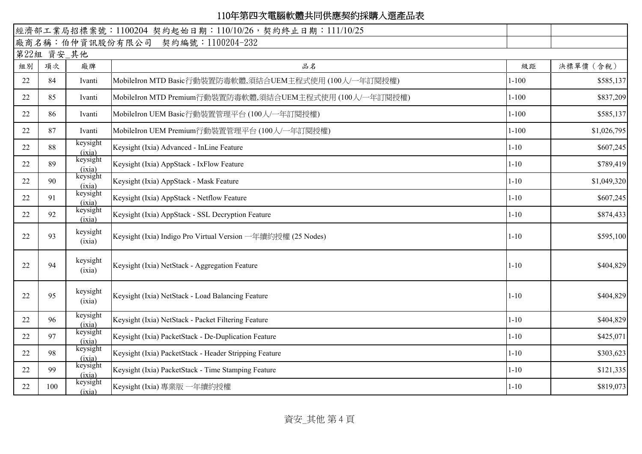|    |            |                    | 經濟部工業局招標案號: 1100204 契約起始日期: 110/10/26, 契約終止日期: 111/10/25     |           |             |
|----|------------|--------------------|--------------------------------------------------------------|-----------|-------------|
|    |            |                    | 廠商名稱:伯仲資訊股份有限公司 契約編號:1100204-232                             |           |             |
|    | 第22組 資安_其他 |                    |                                                              |           |             |
| 組別 | 項次         | 廠牌                 | 品名                                                           | 級距        | 決標單價 (含稅)   |
| 22 | 84         | Ivanti             | MobileIron MTD Basic行動裝置防毒軟體,須結合UEM主程式使用(100人/一年訂閱授權)        | $1 - 100$ | \$585,137   |
| 22 | 85         | Ivanti             | MobileIron MTD Premium行動裝置防毒軟體,須結合UEM主程式使用(100人/一年訂閱授權)      | $1 - 100$ | \$837,209   |
| 22 | 86         | Ivanti             | MobileIron UEM Basic行動裝置管理平台(100人/一年訂閱授權)                    | $1 - 100$ | \$585,137   |
| 22 | 87         | Ivanti             | MobileIron UEM Premium行動裝置管理平台(100人/一年訂閱授權)                  | $1 - 100$ | \$1,026,795 |
| 22 | 88         | keysight<br>(ixia) | Keysight (Ixia) Advanced - InLine Feature                    | $1 - 10$  | \$607,245   |
| 22 | 89         | keysight<br>(ixia) | Keysight (Ixia) AppStack - IxFlow Feature                    | $1 - 10$  | \$789,419   |
| 22 | 90         | keysight<br>(ixia) | Keysight (Ixia) AppStack - Mask Feature                      | $1 - 10$  | \$1,049,320 |
| 22 | 91         | keysight<br>(ixia) | Keysight (Ixia) AppStack - Netflow Feature                   | $1 - 10$  | \$607,245   |
| 22 | 92         | keysight<br>(ixia) | Keysight (Ixia) AppStack - SSL Decryption Feature            | $1 - 10$  | \$874,433   |
| 22 | 93         | keysight<br>(ixia) | Keysight (Ixia) Indigo Pro Virtual Version 一年續約授權 (25 Nodes) | $1 - 10$  | \$595,100   |
| 22 | 94         | keysight<br>(ixia) | Keysight (Ixia) NetStack - Aggregation Feature               | $1 - 10$  | \$404,829   |
| 22 | 95         | keysight<br>(ixia) | Keysight (Ixia) NetStack - Load Balancing Feature            | $1 - 10$  | \$404,829   |
| 22 | 96         | keysight<br>(ixia) | Keysight (Ixia) NetStack - Packet Filtering Feature          | $1 - 10$  | \$404,829   |
| 22 | 97         | keysight<br>(ixia) | Keysight (Ixia) PacketStack - De-Duplication Feature         | $1 - 10$  | \$425,071   |
| 22 | 98         | keysight<br>(ixia) | Keysight (Ixia) PacketStack - Header Stripping Feature       | $1 - 10$  | \$303,623   |
| 22 | 99         | keysight<br>(ixia) | Keysight (Ixia) PacketStack - Time Stamping Feature          | $1 - 10$  | \$121,335   |
| 22 | 100        | keysight<br>(ixia) | Keysight (Ixia) 專業版 一年續約授權                                   | $1 - 10$  | \$819,073   |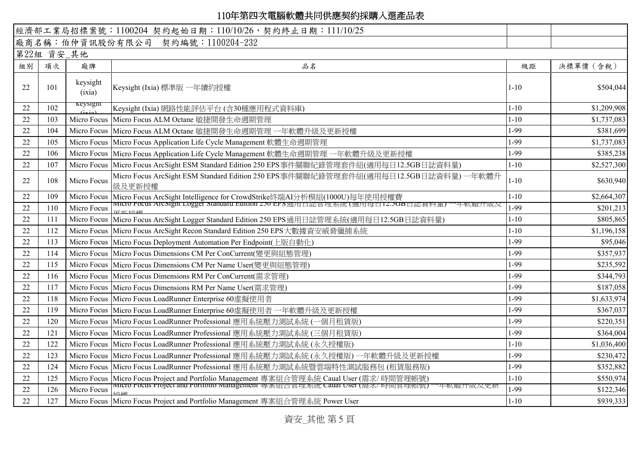|    |            |                    | 經濟部工業局招標案號: 1100204 契約起始日期: 110/10/26, 契約終止日期: 111/10/25                                      |          |             |
|----|------------|--------------------|-----------------------------------------------------------------------------------------------|----------|-------------|
|    |            |                    | 廠商名稱:伯仲資訊股份有限公司 契約編號:1100204-232                                                              |          |             |
|    | 第22組 資安_其他 |                    |                                                                                               |          |             |
| 組別 | 項次         | 廠牌                 | 品名                                                                                            | 級距       | 決標單價 (含稅)   |
| 22 | 101        | keysight<br>(ixia) | Keysight (Ixia) 標準版 一年續約授權                                                                    | $1 - 10$ | \$504,044   |
| 22 | 102        | keysigni           | Keysight (Ixia) 網路性能評估平台 (含30種應用程式資料庫)                                                        | $1 - 10$ | \$1,209,908 |
| 22 | 103        |                    | Micro Focus Micro Focus ALM Octane 敏捷開發生命週期管理                                                 | $1 - 10$ | \$1,737,083 |
| 22 | 104        |                    | Micro Focus Micro Focus ALM Octane 敏捷開發生命週期管理 一年軟體升級及更新授權                                     | 1-99     | \$381,699   |
| 22 | 105        |                    | Micro Focus   Micro Focus Application Life Cycle Management 軟體生命週期管理                          | 1-99     | \$1,737,083 |
| 22 | 106        |                    | Micro Focus Micro Focus Application Life Cycle Management 軟體生命週期管理 一年軟體升級及更新授權                | 1-99     | \$385,238   |
| 22 | 107        |                    | Micro Focus Micro Focus ArcSight ESM Standard Edition 250 EPS事件關聯紀錄管理套件組(適用每日12.5GB日誌資料量)     | $1 - 10$ | \$2,527,300 |
| 22 | 108        | Micro Focus        | Micro Focus ArcSight ESM Standard Edition 250 EPS事件關聯紀錄管理套件組(適用每日12.5GB日誌資料量) 一年軟體升<br>級及更新授權 | $1 - 10$ | \$630,940   |
| 22 | 109        |                    | Micro Focus   Micro Focus ArcSight Intelligence for CrowdStrike終端AI分析模組(1000U)每年使用授權費         | $1 - 10$ | \$2,664,307 |
| 22 | 110        | Micro Focus        | micro rocus Arcsignt Logger standard Edition 230 EPS通用自認官理系統 (適用每日12.30B日認貞科重)<br>- 平戦腟丌紋及    | 1-99     | \$201,213   |
| 22 | 111        |                    | Micro Focus   Micro Focus ArcSight Logger Standard Edition 250 EPS通用日誌管理系統(適用每日12.5GB日誌資料量)   | $1 - 10$ | \$805,865   |
| 22 | 112        |                    | Micro Focus   Micro Focus ArcSight Recon Standard Edition 250 EPS 大數據資安威脅獵捕系統                 | $1 - 10$ | \$1,196,158 |
| 22 | 113        |                    | Micro Focus   Micro Focus Deployment Automation Per Endpoint(上版自動化)                           | 1-99     | \$95,046    |
| 22 | 114        |                    | Micro Focus   Micro Focus Dimensions CM Per ConCurrent(變更與組熊管理)                               | 1-99     | \$357,937   |
| 22 | 115        |                    | Micro Focus Micro Focus Dimensions CM Per Name User(變更與組態管理)                                  | 1-99     | \$235,592   |
| 22 | 116        |                    | Micro Focus   Micro Focus Dimensions RM Per ConCurrent(需求管理)                                  | 1-99     | \$344,793   |
| 22 | 117        |                    | Micro Focus   Micro Focus Dimensions RM Per Name User(需求管理)                                   | 1-99     | \$187,058   |
| 22 | 118        |                    | Micro Focus Micro Focus LoadRunner Enterprise 60虛擬使用者                                         | 1-99     | \$1,633,974 |
| 22 | 119        |                    | Micro Focus   Micro Focus LoadRunner Enterprise 60虛擬使用者一年軟體升級及更新授權                            | 1-99     | \$367,037   |
| 22 | 120        |                    | Micro Focus   Micro Focus LoadRunner Professional 應用系統壓力測試系統 (一個月租賃版)                         | 1-99     | \$220,351   |
| 22 | 121        |                    | Micro Focus   Micro Focus LoadRunner Professional 應用系統壓力測試系統 (三個月租賃版)                         | 1-99     | \$364,004   |
| 22 | 122        |                    | Micro Focus   Micro Focus LoadRunner Professional 應用系統壓力測試系統 (永久授權版)                          | $1 - 10$ | \$1,036,400 |
| 22 | 123        |                    | Micro Focus Micro Focus LoadRunner Professional 應用系統壓力測試系統 (永久授權版) 一年軟體升級及更新授權                | 1-99     | \$230,472   |
| 22 | 124        |                    | Micro Focus Micro Focus LoadRunner Professional 應用系統壓力測試系統暨雲端特性測試服務包 (租賃服務版)                  | 1-99     | \$352,882   |
| 22 | 125        |                    | Micro Focus Micro Focus Project and Portfolio Management 專案組合管理系統 Caual User (需求/ 時間管理帳號)     | $1 - 10$ | \$550,974   |
| 22 | 126        | Micro Focus        | micro rocus rroject and rortiono management 專条紐合官理系統 Caual Oser (侖水/ 吋间官理喉號)                  | 1-99     | \$122,346   |
| 22 | 127        |                    | Micro Focus Micro Focus Project and Portfolio Management 專案組合管理系統 Power User                  | $1 - 10$ | \$939,333   |

資安\_其他 第 5 頁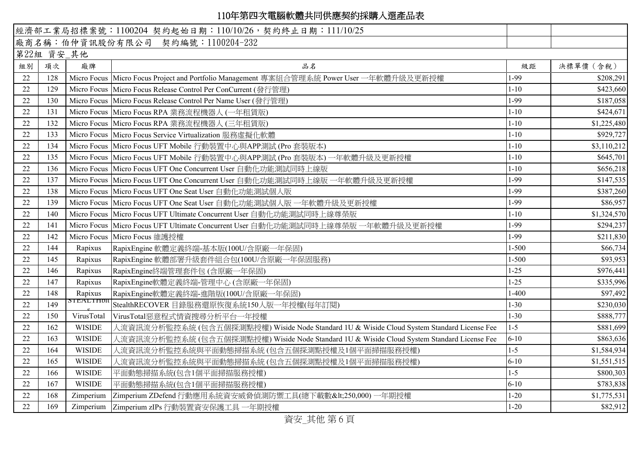|    |                                  |                 | 經濟部工業局招標案號: 1100204 契約起始日期: 110/10/26, 契約終止日期: 111/10/25                                   |           |             |
|----|----------------------------------|-----------------|--------------------------------------------------------------------------------------------|-----------|-------------|
|    | 廠商名稱:伯仲資訊股份有限公司 契約編號:1100204-232 |                 |                                                                                            |           |             |
|    | 第22組 資安_其他                       |                 |                                                                                            |           |             |
| 組別 | 項次                               | 廠牌              | 品名                                                                                         | 級距        | 決標單價 (含稅)   |
| 22 | 128                              |                 | Micro Focus Micro Focus Project and Portfolio Management 專案組合管理系統 Power User 一年軟體升級及更新授權   | 1-99      | \$208,291   |
| 22 | 129                              |                 | Micro Focus   Micro Focus Release Control Per ConCurrent (發行管理)                            | $1 - 10$  | \$423,660   |
| 22 | 130                              |                 | Micro Focus Micro Focus Release Control Per Name User (發行管理)                               | 1-99      | \$187,058   |
| 22 | 131                              |                 | Micro Focus   Micro Focus RPA 業務流程機器人 (一年租賃版)                                              | $1 - 10$  | \$424,671   |
| 22 | 132                              |                 | Micro Focus   Micro Focus RPA 業務流程機器人 (三年租賃版)                                              | $1 - 10$  | \$1,225,480 |
| 22 | 133                              |                 | Micro Focus   Micro Focus Service Virtualization 服務虛擬化軟體                                   | $1 - 10$  | \$929,727   |
| 22 | 134                              |                 | Micro Focus   Micro Focus UFT Mobile 行動裝置中心與APP測試 (Pro 套裝版本)                               | $1 - 10$  | \$3,110,212 |
| 22 | 135                              |                 | Micro Focus Micro Focus UFT Mobile 行動裝置中心與APP測試 (Pro 套裝版本) 一年軟體升級及更新授權                     | $1 - 10$  | \$645,701   |
| 22 | 136                              |                 | Micro Focus   Micro Focus UFT One Concurrent User 自動化功能測試同時上線版                             | $1 - 10$  | \$656,218   |
| 22 | 137                              |                 | Micro Focus Micro Focus UFT One Concurrent User 自動化功能測試同時上線版 一年軟體升級及更新授權                   | 1-99      | \$147,535   |
| 22 | 138                              |                 | Micro Focus   Micro Focus UFT One Seat User 自動化功能測試個人版                                     | 1-99      | \$387,260   |
| 22 | 139                              |                 | Micro Focus   Micro Focus UFT One Seat User 自動化功能測試個人版 一年軟體升級及更新授權                         | 1-99      | \$86,957    |
| 22 | 140                              |                 | Micro Focus Micro Focus UFT Ultimate Concurrent User 自動化功能測試同時上線尊榮版                        | $1 - 10$  | \$1,324,570 |
| 22 | 141                              |                 | Micro Focus   Micro Focus UFT Ultimate Concurrent User 自動化功能測試同時上線尊榮版 一年軟體升級及更新授權          | 1-99      | \$294,237   |
| 22 | 142                              |                 | Micro Focus Micro Focus 維護授權                                                               | 1-99      | \$211,830   |
| 22 | 144                              | Rapixus         | RapixEngine 軟體定義終端-基本版(100U/含原廠一年保固)                                                       | $1 - 500$ | \$66,734    |
| 22 | 145                              | Rapixus         | RapixEngine 軟體部署升級套件組合包(100U/含原廠一年保固服務)                                                    | $1 - 500$ | \$93,953    |
| 22 | 146                              | Rapixus         | RapixEngine終端管理套件包 (含原廠一年保固)                                                               | $1 - 25$  | \$976,441   |
| 22 | 147                              | Rapixus         | RapixEngine軟體定義終端-管理中心 (含原廠一年保固)                                                           | $1 - 25$  | \$335,996   |
| 22 | 148                              | Rapixus         | RapixEngine軟體定義終端-進階版(100U/含原廠一年保固)                                                        | $1 - 400$ | \$97,492    |
| 22 | 149                              | <u>STEALTHD</u> | StealthRECOVER 目錄服務還原恢復系統150人版一年授權(每年訂閱)                                                   | $1 - 30$  | \$230,030   |
| 22 | 150                              | VirusTotal      | VirusTotal惡意程式情資搜尋分析平台一年授權                                                                 | $1 - 30$  | \$888,777   |
| 22 | 162                              | <b>WISIDE</b>   | 人流資訊流分析監控系統 (包含五個探測點授權) Wiside Node Standard 1U & Wiside Cloud System Standard License Fee | $1 - 5$   | \$881,699   |
| 22 | 163                              | <b>WISIDE</b>   | 人流資訊流分析監控系統 (包含五個探測點授權) Wiside Node Standard 1U & Wiside Cloud System Standard License Fee | $6 - 10$  | \$863,636   |
| 22 | 164                              | <b>WISIDE</b>   | 人流資訊流分析監控系統與平面動態掃描系統(包含五個探測點授權及1個平面掃描服務授權)                                                 | $1 - 5$   | \$1,584,934 |
| 22 | 165                              | <b>WISIDE</b>   | 人流資訊流分析監控系統與平面動態掃描系統(包含五個探測點授權及1個平面掃描服務授權)                                                 | $6 - 10$  | \$1,551,515 |
| 22 | 166                              | <b>WISIDE</b>   | 平面動態掃描系統(包含1個平面掃描服務授權)                                                                     | $1 - 5$   | \$800,303   |
| 22 | 167                              | <b>WISIDE</b>   | 平面動態掃描系統(包含1個平面掃描服務授權)                                                                     | $6 - 10$  | \$783,838   |
| 22 | 168                              | Zimperium       | Zimperium ZDefend 行動應用系統資安威脅偵測防禦工具(總下載數<250,000) 一年期授權                                     | $1 - 20$  | \$1,775,531 |
| 22 | 169                              | Zimperium       | Zimperium zIPs 行動裝置資安保護工具 一年期授權                                                            | $1 - 20$  | \$82,912    |